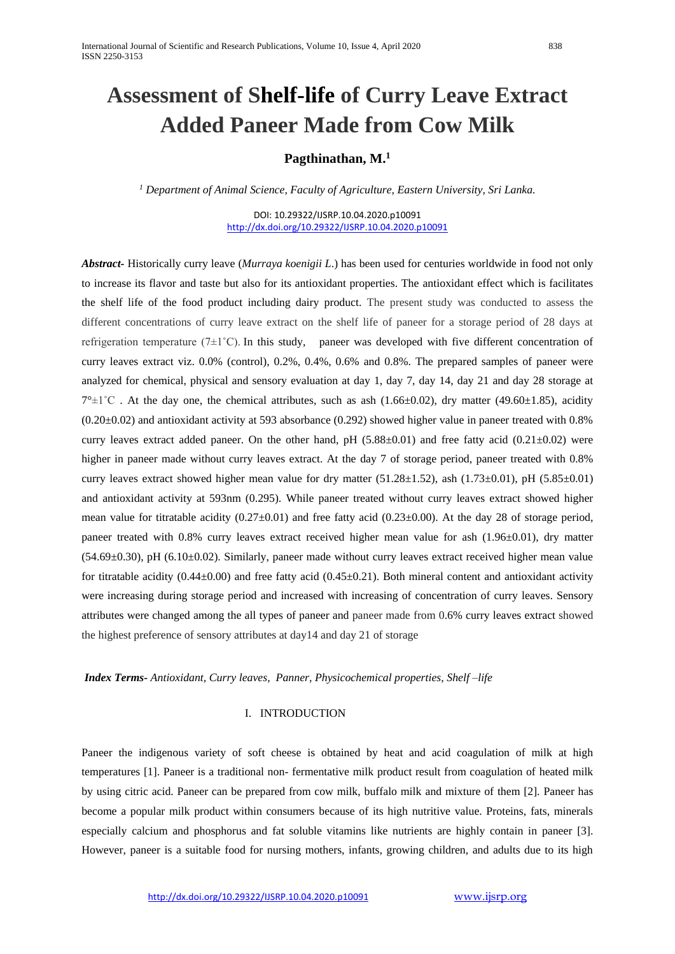# **Assessment of Shelf-life of Curry Leave Extract Added Paneer Made from Cow Milk**

# **Pagthinathan, M.<sup>1</sup>**

*<sup>1</sup> Department of Animal Science, Faculty of Agriculture, Eastern University, Sri Lanka.*

DOI: 10.29322/IJSRP.10.04.2020.p10091 <http://dx.doi.org/10.29322/IJSRP.10.04.2020.p10091>

*Abstract-* Historically curry leave (*Murraya koenigii L*.) has been used for centuries worldwide in food not only to increase its flavor and taste but also for its antioxidant properties. The antioxidant effect which is facilitates the shelf life of the food product including dairy product. The present study was conducted to assess the different concentrations of curry leave extract on the shelf life of paneer for a storage period of 28 days at refrigeration temperature ( $7\pm1^{\circ}$ C). In this study, paneer was developed with five different concentration of curry leaves extract viz. 0.0% (control), 0.2%, 0.4%, 0.6% and 0.8%. The prepared samples of paneer were analyzed for chemical, physical and sensory evaluation at day 1, day 7, day 14, day 21 and day 28 storage at  $7^{\circ}\pm1^{\circ}$ C. At the day one, the chemical attributes, such as ash (1.66 $\pm$ 0.02), dry matter (49.60 $\pm$ 1.85), acidity  $(0.20\pm0.02)$  and antioxidant activity at 593 absorbance  $(0.292)$  showed higher value in paneer treated with 0.8% curry leaves extract added paneer. On the other hand, pH  $(5.88±0.01)$  and free fatty acid  $(0.21±0.02)$  were higher in paneer made without curry leaves extract. At the day 7 of storage period, paneer treated with 0.8% curry leaves extract showed higher mean value for dry matter (51.28 $\pm$ 1.52), ash (1.73 $\pm$ 0.01), pH (5.85 $\pm$ 0.01) and antioxidant activity at 593nm (0.295). While paneer treated without curry leaves extract showed higher mean value for titratable acidity  $(0.27\pm0.01)$  and free fatty acid  $(0.23\pm0.00)$ . At the day 28 of storage period, paneer treated with  $0.8\%$  curry leaves extract received higher mean value for ash  $(1.96\pm0.01)$ , dry matter  $(54.69\pm0.30)$ , pH  $(6.10\pm0.02)$ . Similarly, paneer made without curry leaves extract received higher mean value for titratable acidity  $(0.44\pm0.00)$  and free fatty acid  $(0.45\pm0.21)$ . Both mineral content and antioxidant activity were increasing during storage period and increased with increasing of concentration of curry leaves. Sensory attributes were changed among the all types of paneer and paneer made from 0.6% curry leaves extract showed the highest preference of sensory attributes at day14 and day 21 of storage

*Index Terms- Antioxidant, Curry leaves, Panner, Physicochemical properties, Shelf –life*

# I. INTRODUCTION

Paneer the indigenous variety of soft cheese is obtained by heat and acid coagulation of milk at high temperatures [1]. Paneer is a traditional non- fermentative milk product result from coagulation of heated milk by using citric acid. Paneer can be prepared from cow milk, buffalo milk and mixture of them [2]. Paneer has become a popular milk product within consumers because of its high nutritive value. Proteins, fats, minerals especially calcium and phosphorus and fat soluble vitamins like nutrients are highly contain in paneer [3]. However, paneer is a suitable food for nursing mothers, infants, growing children, and adults due to its high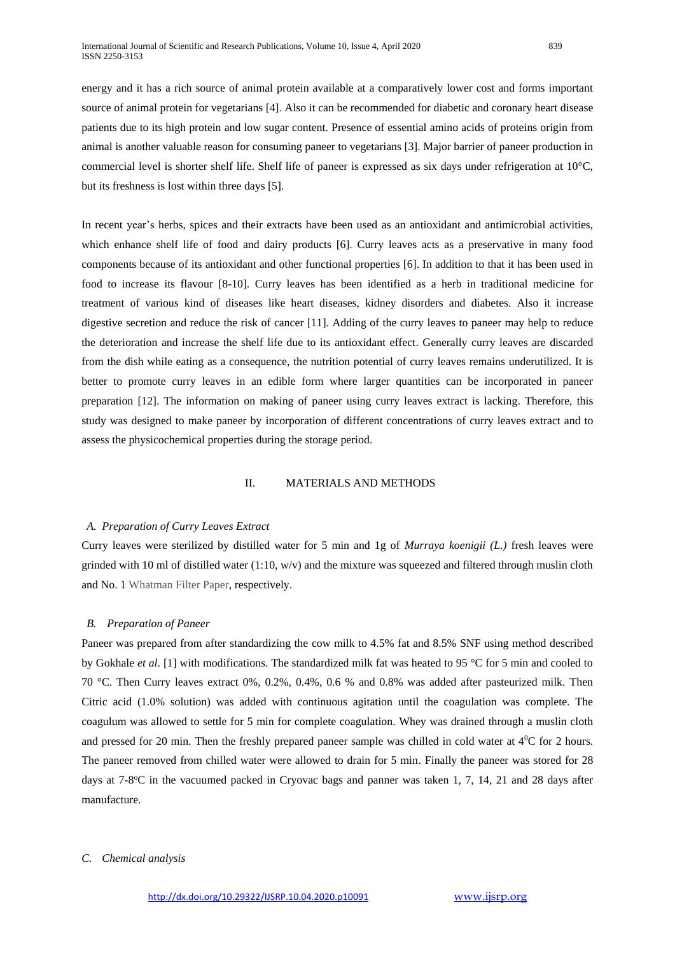energy and it has a rich source of animal protein available at a comparatively lower cost and forms important source of animal protein for vegetarians [4]. Also it can be recommended for diabetic and coronary heart disease patients due to its high protein and low sugar content. Presence of essential amino acids of proteins origin from animal is another valuable reason for consuming paneer to vegetarians [3]. Major barrier of paneer production in commercial level is shorter shelf life. Shelf life of paneer is expressed as six days under refrigeration at 10°C, but its freshness is lost within three days [5].

In recent year's herbs, spices and their extracts have been used as an antioxidant and antimicrobial activities, which enhance shelf life of food and dairy products [6]. Curry leaves acts as a preservative in many food components because of its antioxidant and other functional properties [6]. In addition to that it has been used in food to increase its flavour [8-10]. Curry leaves has been identified as a herb in traditional medicine for treatment of various kind of diseases like heart diseases, kidney disorders and diabetes. Also it increase digestive secretion and reduce the risk of cancer [11]. Adding of the curry leaves to paneer may help to reduce the deterioration and increase the shelf life due to its antioxidant effect. Generally curry leaves are discarded from the dish while eating as a consequence, the nutrition potential of curry leaves remains underutilized. It is better to promote curry leaves in an edible form where larger quantities can be incorporated in paneer preparation [12]. The information on making of paneer using curry leaves extract is lacking. Therefore, this study was designed to make paneer by incorporation of different concentrations of curry leaves extract and to assess the physicochemical properties during the storage period.

#### II. MATERIALS AND METHODS

## *A. Preparation of Curry Leaves Extract*

Curry leaves were sterilized by distilled water for 5 min and 1g of *Murraya koenigii (L.)* fresh leaves were grinded with 10 ml of distilled water  $(1:10, w/v)$  and the mixture was squeezed and filtered through muslin cloth and No. 1 Whatman Filter Paper, respectively.

#### *B. Preparation of Paneer*

Paneer was prepared from after standardizing the cow milk to 4.5% fat and 8.5% SNF using method described by Gokhale *et al*. [1] with modifications. The standardized milk fat was heated to 95 °C for 5 min and cooled to 70 °C. Then Curry leaves extract 0%, 0.2%, 0.4%, 0.6 % and 0.8% was added after pasteurized milk. Then Citric acid (1.0% solution) was added with continuous agitation until the coagulation was complete. The coagulum was allowed to settle for 5 min for complete coagulation. Whey was drained through a muslin cloth and pressed for 20 min. Then the freshly prepared paneer sample was chilled in cold water at  $4^{\circ}$ C for 2 hours. The paneer removed from chilled water were allowed to drain for 5 min. Finally the paneer was stored for 28 days at 7-8°C in the vacuumed packed in Cryovac bags and panner was taken 1, 7, 14, 21 and 28 days after manufacture.

#### *C. Chemical analysis*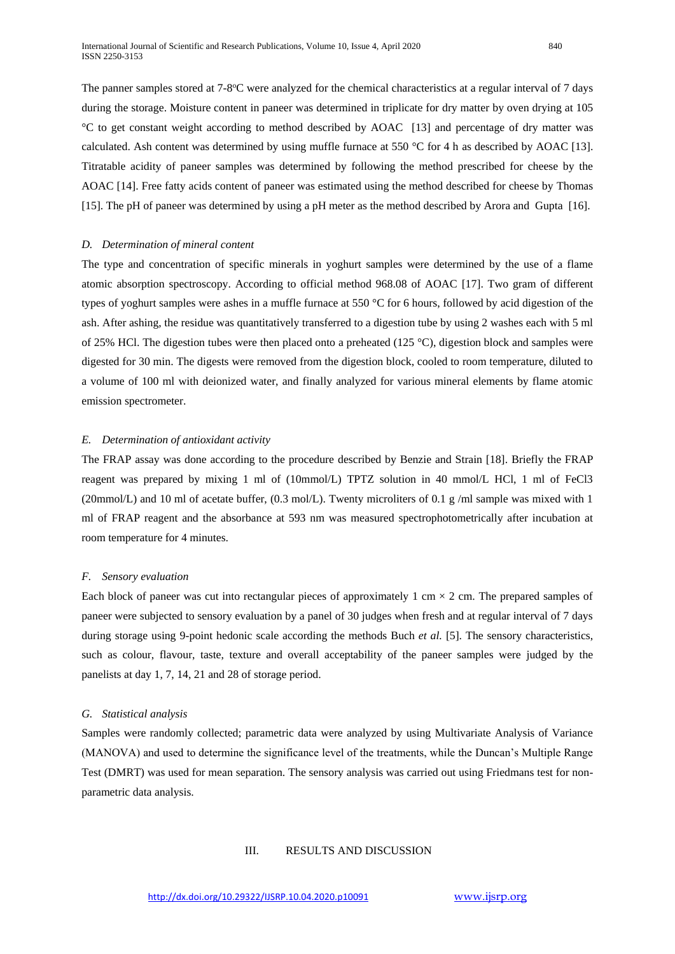The panner samples stored at 7-8°C were analyzed for the chemical characteristics at a regular interval of 7 days during the storage. Moisture content in paneer was determined in triplicate for dry matter by oven drying at 105 °C to get constant weight according to method described by AOAC [13] and percentage of dry matter was calculated. Ash content was determined by using muffle furnace at 550 °C for 4 h as described by AOAC [13]. Titratable acidity of paneer samples was determined by following the method prescribed for cheese by the AOAC [14]. Free fatty acids content of paneer was estimated using the method described for cheese by Thomas [15]. The pH of paneer was determined by using a pH meter as the method described by Arora and Gupta [16].

# *D. Determination of mineral content*

The type and concentration of specific minerals in yoghurt samples were determined by the use of a flame atomic absorption spectroscopy. According to official method 968.08 of AOAC [17]. Two gram of different types of yoghurt samples were ashes in a muffle furnace at 550 °C for 6 hours, followed by acid digestion of the ash. After ashing, the residue was quantitatively transferred to a digestion tube by using 2 washes each with 5 ml of 25% HCl. The digestion tubes were then placed onto a preheated (125 °C), digestion block and samples were digested for 30 min. The digests were removed from the digestion block, cooled to room temperature, diluted to a volume of 100 ml with deionized water, and finally analyzed for various mineral elements by flame atomic emission spectrometer.

#### *E. Determination of antioxidant activity*

The FRAP assay was done according to the procedure described by Benzie and Strain [18]. Briefly the FRAP reagent was prepared by mixing 1 ml of (10mmol/L) TPTZ solution in 40 mmol/L HCl, 1 ml of FeCl3 (20mmol/L) and 10 ml of acetate buffer, (0.3 mol/L). Twenty microliters of 0.1 g /ml sample was mixed with 1 ml of FRAP reagent and the absorbance at 593 nm was measured spectrophotometrically after incubation at room temperature for 4 minutes.

# *F. Sensory evaluation*

Each block of paneer was cut into rectangular pieces of approximately 1 cm  $\times$  2 cm. The prepared samples of paneer were subjected to sensory evaluation by a panel of 30 judges when fresh and at regular interval of 7 days during storage using 9-point hedonic scale according the methods Buch *et al.* [5]. The sensory characteristics, such as colour, flavour, taste, texture and overall acceptability of the paneer samples were judged by the panelists at day 1, 7, 14, 21 and 28 of storage period.

#### *G. Statistical analysis*

Samples were randomly collected; parametric data were analyzed by using Multivariate Analysis of Variance (MANOVA) and used to determine the significance level of the treatments, while the Duncan's Multiple Range Test (DMRT) was used for mean separation. The sensory analysis was carried out using Friedmans test for nonparametric data analysis.

# III. RESULTS AND DISCUSSION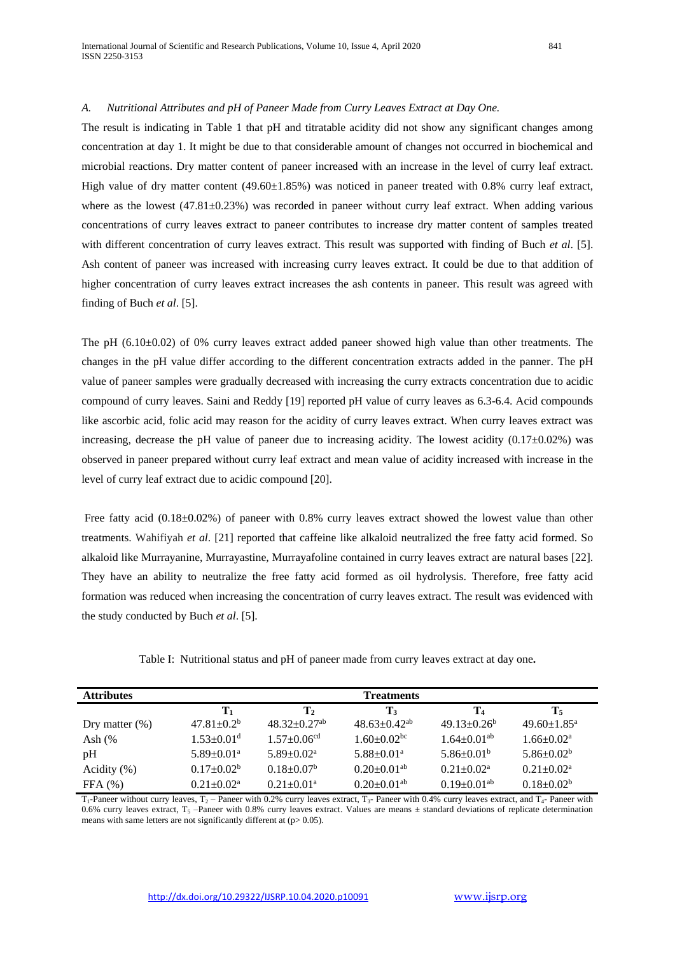# *A. Nutritional Attributes and pH of Paneer Made from Curry Leaves Extract at Day One.*

The result is indicating in Table 1 that pH and titratable acidity did not show any significant changes among concentration at day 1. It might be due to that considerable amount of changes not occurred in biochemical and microbial reactions. Dry matter content of paneer increased with an increase in the level of curry leaf extract. High value of dry matter content (49.60±1.85%) was noticed in paneer treated with 0.8% curry leaf extract, where as the lowest  $(47.81\pm0.23\%)$  was recorded in paneer without curry leaf extract. When adding various concentrations of curry leaves extract to paneer contributes to increase dry matter content of samples treated with different concentration of curry leaves extract. This result was supported with finding of Buch *et al*. [5]. Ash content of paneer was increased with increasing curry leaves extract. It could be due to that addition of higher concentration of curry leaves extract increases the ash contents in paneer. This result was agreed with finding of Buch *et al*. [5].

The pH  $(6.10\pm0.02)$  of 0% curry leaves extract added paneer showed high value than other treatments. The changes in the pH value differ according to the different concentration extracts added in the panner. The pH value of paneer samples were gradually decreased with increasing the curry extracts concentration due to acidic compound of curry leaves. Saini and Reddy [19] reported pH value of curry leaves as 6.3-6.4. Acid compounds like ascorbic acid, folic acid may reason for the acidity of curry leaves extract. When curry leaves extract was increasing, decrease the pH value of paneer due to increasing acidity. The lowest acidity  $(0.17\pm0.02\%)$  was observed in paneer prepared without curry leaf extract and mean value of acidity increased with increase in the level of curry leaf extract due to acidic compound [20].

Free fatty acid (0.18±0.02%) of paneer with 0.8% curry leaves extract showed the lowest value than other treatments. Wahifiyah *et al*. [21] reported that caffeine like alkaloid neutralized the free fatty acid formed. So alkaloid like Murrayanine, Murrayastine, Murrayafoline contained in curry leaves extract are natural bases [22]. They have an ability to neutralize the free fatty acid formed as oil hydrolysis. Therefore, free fatty acid formation was reduced when increasing the concentration of curry leaves extract. The result was evidenced with the study conducted by Buch *et al*. [5].

| <b>Attributes</b> |                              |                                | <b>Treatments</b>              |                               |                               |  |
|-------------------|------------------------------|--------------------------------|--------------------------------|-------------------------------|-------------------------------|--|
|                   | $\mathbf{T}_1$               | T <sub>2</sub>                 | T3                             | T <sub>4</sub>                | $T_5$                         |  |
| Dry matter $(\%)$ | $47.81 + 0.2b$               | $48.32 \pm 0.27$ <sup>ab</sup> | $48.63 \pm 0.42$ <sup>ab</sup> | $49.13 \pm 0.26^b$            | $49.60 \pm 1.85$ <sup>a</sup> |  |
| Ash $(%$          | $1.53 + 0.01d$               | $1.57 \pm 0.06$ <sup>cd</sup>  | $1.60 \pm 0.02$ <sup>bc</sup>  | $1.64 \pm 0.01$ <sup>ab</sup> | $1.66 \pm 0.02^{\text{a}}$    |  |
| pH                | $5.89 \pm 0.01$ <sup>a</sup> | $5.89 \pm 0.02^a$              | $5.88 \pm 0.01$ <sup>a</sup>   | $5.86 \pm 0.01^{\rm b}$       | $5.86 \pm 0.02^b$             |  |
| Acidity $(\%)$    | $0.17+0.02b$                 | $0.18 \pm 0.07^{\rm b}$        | $0.20 \pm 0.01$ <sup>ab</sup>  | $0.21 + 0.02^a$               | $0.21 \pm 0.02^a$             |  |
| FFA(%)            | $0.21 \pm 0.02^a$            | $0.21 \pm 0.01$ <sup>a</sup>   | $0.20 \pm 0.01$ <sup>ab</sup>  | $0.19 \pm 0.01$ <sup>ab</sup> | $0.18 \pm 0.02^b$             |  |

Table I: Nutritional status and pH of paneer made from curry leaves extract at day one**.**

 $T_1$ -Paneer without curry leaves,  $T_2$  – Paneer with 0.2% curry leaves extract,  $T_3$ - Paneer with 0.4% curry leaves extract, and  $T_4$ - Paneer with 0.6% curry leaves extract,  $T_5$  –Paneer with 0.8% curry leaves extract. Values are means  $\pm$  standard deviations of replicate determination means with same letters are not significantly different at  $(p> 0.05)$ .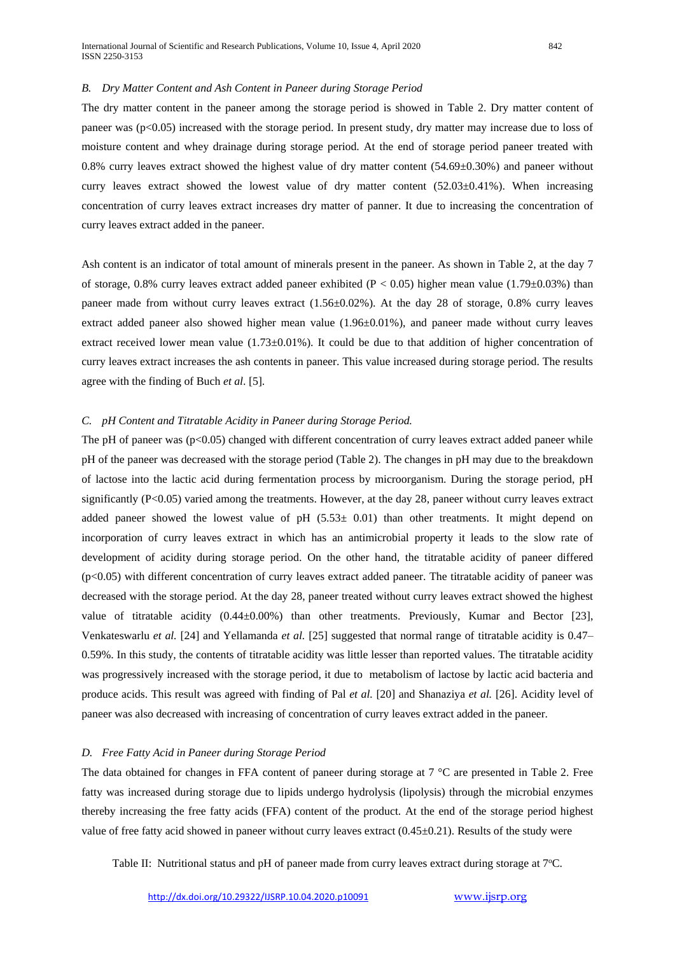## *B. Dry Matter Content and Ash Content in Paneer during Storage Period*

The dry matter content in the paneer among the storage period is showed in Table 2. Dry matter content of paneer was (p<0.05) increased with the storage period. In present study, dry matter may increase due to loss of moisture content and whey drainage during storage period. At the end of storage period paneer treated with 0.8% curry leaves extract showed the highest value of dry matter content (54.69±0.30%) and paneer without curry leaves extract showed the lowest value of dry matter content  $(52.03\pm0.41\%)$ . When increasing concentration of curry leaves extract increases dry matter of panner. It due to increasing the concentration of curry leaves extract added in the paneer.

Ash content is an indicator of total amount of minerals present in the paneer. As shown in Table 2, at the day 7 of storage, 0.8% curry leaves extract added paneer exhibited ( $P < 0.05$ ) higher mean value (1.79±0.03%) than paneer made from without curry leaves extract (1.56±0.02%). At the day 28 of storage, 0.8% curry leaves extract added paneer also showed higher mean value (1.96±0.01%), and paneer made without curry leaves extract received lower mean value  $(1.73\pm0.01\%)$ . It could be due to that addition of higher concentration of curry leaves extract increases the ash contents in paneer. This value increased during storage period. The results agree with the finding of Buch *et al*. [5].

#### *C. pH Content and Titratable Acidity in Paneer during Storage Period.*

The pH of paneer was  $(p<0.05)$  changed with different concentration of curry leaves extract added paneer while pH of the paneer was decreased with the storage period (Table 2). The changes in pH may due to the breakdown of lactose into the lactic acid during fermentation process by microorganism. During the storage period, pH significantly (P<0.05) varied among the treatments. However, at the day 28, paneer without curry leaves extract added paneer showed the lowest value of pH  $(5.53\pm 0.01)$  than other treatments. It might depend on incorporation of curry leaves extract in which has an antimicrobial property it leads to the slow rate of development of acidity during storage period. On the other hand, the titratable acidity of paneer differed (p<0.05) with different concentration of curry leaves extract added paneer. The titratable acidity of paneer was decreased with the storage period. At the day 28, paneer treated without curry leaves extract showed the highest value of titratable acidity (0.44±0.00%) than other treatments. Previously, Kumar and Bector [23], Venkateswarlu *et al.* [24] and Yellamanda *et al.* [25] suggested that normal range of titratable acidity is 0.47– 0.59%. In this study, the contents of titratable acidity was little lesser than reported values. The titratable acidity was progressively increased with the storage period, it due to metabolism of lactose by lactic acid bacteria and produce acids. This result was agreed with finding of Pal *et al.* [20] and Shanaziya *et al.* [26]. Acidity level of paneer was also decreased with increasing of concentration of curry leaves extract added in the paneer.

#### *D. Free Fatty Acid in Paneer during Storage Period*

The data obtained for changes in FFA content of paneer during storage at 7 °C are presented in Table 2. Free fatty was increased during storage due to lipids undergo hydrolysis (lipolysis) through the microbial enzymes thereby increasing the free fatty acids (FFA) content of the product. At the end of the storage period highest value of free fatty acid showed in paneer without curry leaves extract  $(0.45\pm0.21)$ . Results of the study were

Table II: Nutritional status and pH of paneer made from curry leaves extract during storage at  $7^{\circ}$ C.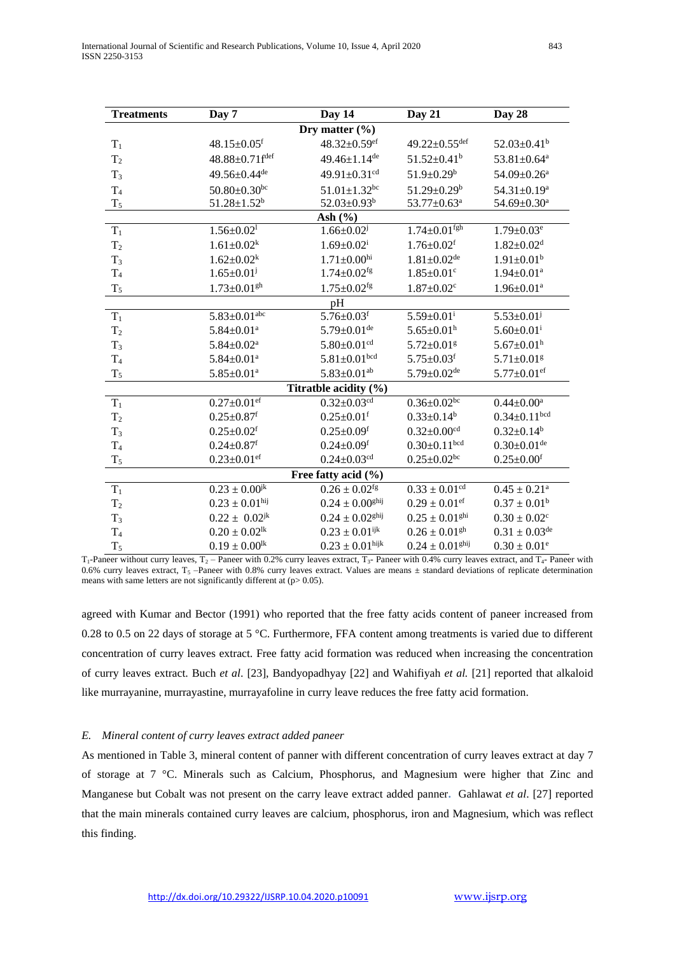| <b>Treatments</b>     | Day 7                          | Day 14                          | Day 21                          | Day 28                        |
|-----------------------|--------------------------------|---------------------------------|---------------------------------|-------------------------------|
|                       |                                | Dry matter $(\% )$              |                                 |                               |
| $T_1$                 | $48.15 \pm 0.05$ <sup>f</sup>  | $48.32 \pm 0.59$ <sup>ef</sup>  | 49.22 $\pm$ 0.55 <sup>def</sup> | $52.03 \pm 0.41^b$            |
| T <sub>2</sub>        | 48.88±0.71fdef                 | 49.46±1.14 <sup>de</sup>        | $51.52 \pm 0.41$ <sup>b</sup>   | 53.81±0.64 <sup>a</sup>       |
| $T_3$                 | 49.56±0.44 <sup>de</sup>       | 49.91±0.31 <sup>cd</sup>        | $51.9 \pm 0.29^b$               | $54.09 \pm 0.26$ <sup>a</sup> |
| T <sub>4</sub>        | $50.80 \pm 0.30$ bc            | $51.01 \pm 1.32$ <sup>bc</sup>  | $51.29 \pm 0.29^b$              | 54.31±0.19 <sup>a</sup>       |
| $T_5$                 | $51.28 \pm 1.52^b$             | $52.03 \pm 0.93^b$              | $53.77 \pm 0.63^{\text{a}}$     | 54.69±0.30 <sup>a</sup>       |
|                       |                                | Ash $(\% )$                     |                                 |                               |
| $T_1$                 | $1.56 \pm 0.02$ <sup>1</sup>   | $1.66 \pm 0.02$                 | $1.74 \pm 0.01$ <sup>fgh</sup>  | $1.79 \pm 0.03$ <sup>e</sup>  |
| T <sub>2</sub>        | $1.61 \pm 0.02^k$              | $1.69 \pm 0.02^{\mathrm{i}}$    | $1.76 \pm 0.02$ <sup>f</sup>    | $1.82 \pm 0.02$ <sup>d</sup>  |
| $T_3$                 | $1.62 \pm 0.02^k$              | $1.71 \pm 0.00$ hi              | $1.81 \pm 0.02$ <sup>de</sup>   | $1.91 \pm 0.01^b$             |
| T <sub>4</sub>        | $1.65 \pm 0.01$ <sup>j</sup>   | $1.74 \pm 0.02$ <sup>fg</sup>   | $1.85 \pm 0.01$ <sup>c</sup>    | $1.94 \pm 0.01$ <sup>a</sup>  |
| $T_5$                 | $1.73 \pm 0.01$ gh             | $1.75 \pm 0.02$ <sup>fg</sup>   | $1.87 \pm 0.02$ <sup>c</sup>    | $1.96 \pm 0.01$ <sup>a</sup>  |
|                       |                                | pH                              |                                 |                               |
| $T_1$                 | 5.83 $\pm$ 0.01 <sup>abc</sup> | $5.76 \pm 0.03$ <sup>f</sup>    | $5.59 \pm 0.01$ <sup>i</sup>    | $5.53 \pm 0.01$ <sup>j</sup>  |
| T <sub>2</sub>        | $5.84 \pm 0.01$ <sup>a</sup>   | $5.79 \pm 0.01$ <sup>de</sup>   | $5.65 \pm 0.01$ <sup>h</sup>    | $5.60 \pm 0.01$ <sup>i</sup>  |
| $T_3$                 | $5.84{\pm}0.02^{\mathrm{a}}$   | $5.80{\pm}0.01^{\rm cd}$        | $5.72 \pm 0.01$ g               | $5.67 \pm 0.01$ <sup>h</sup>  |
| T <sub>4</sub>        | $5.84 \pm 0.01^a$              | $5.81 \pm 0.01$ bcd             | $5.75 \pm 0.03$ <sup>f</sup>    | $5.71 \pm 0.01$ <sup>g</sup>  |
| $T_5$                 | $5.85 \pm 0.01^a$              | $5.83 \pm 0.01$ <sup>ab</sup>   | $5.79 \pm 0.02$ <sup>de</sup>   | 5.77 $\pm$ 0.01 <sup>ef</sup> |
| Titratble acidity (%) |                                |                                 |                                 |                               |
| $T_1$                 | $0.27 \pm 0.01$ <sup>ef</sup>  | $0.32 \pm 0.03$ <sup>cd</sup>   | $0.36 \pm 0.02$ <sup>bc</sup>   | $0.44 \pm 0.00^a$             |
| T <sub>2</sub>        | $0.25 \pm 0.87$ <sup>f</sup>   | $0.25 \pm 0.01$ <sup>f</sup>    | $0.33 \pm 0.14^b$               | $0.34 \pm 0.11$ bcd           |
| $T_3$                 | $0.25 \pm 0.02$ <sup>f</sup>   | $0.25 \pm 0.09$ <sup>f</sup>    | $0.32 \pm 0.00$ <sup>cd</sup>   | $0.32 \pm 0.14^b$             |
| T <sub>4</sub>        | $0.24 \pm 0.87$ <sup>f</sup>   | $0.24 \pm 0.09$ <sup>f</sup>    | $0.30 \pm 0.11$ bcd             | $0.30 \pm 0.01$ de            |
| $T_5$                 | $0.23 \pm 0.01$ ef             | $0.24 \pm 0.03$ <sup>cd</sup>   | $0.25 \pm 0.02$ bc              | $0.25 \pm 0.00$ <sup>f</sup>  |
| Free fatty acid (%)   |                                |                                 |                                 |                               |
| $T_1$                 | $0.23 \pm 0.00^{jk}$           | $0.26 \pm 0.02$ <sup>fg</sup>   | $0.33 \pm 0.01$ <sup>cd</sup>   | $0.45 \pm 0.21^a$             |
| T <sub>2</sub>        | $0.23 \pm 0.01^{\text{hij}}$   | $0.24 \pm 0.00$ <sup>ghij</sup> | $0.29 \pm 0.01$ <sup>ef</sup>   | $0.37 \pm 0.01^b$             |
| $T_3$                 | $0.22 \pm 0.02^{jk}$           | $0.24 \pm 0.02$ <sup>ghij</sup> | $0.25 \pm 0.01$ <sup>ghi</sup>  | $0.30 \pm 0.02^c$             |
| T <sub>4</sub>        | $0.20 \pm 0.02^{\rm lk}$       | $0.23 \pm 0.01$ <sup>ijk</sup>  | $0.26 \pm 0.01$ <sup>gh</sup>   | $0.31 \pm 0.03^{\text{de}}$   |
| $T_5$                 | $0.19 \pm 0.00$ <sup>lk</sup>  | $0.23 \pm 0.01^{\text{hijk}}$   | $0.24 \pm 0.01$ <sup>ghij</sup> | $0.30 \pm 0.01^e$             |

 $T_1$ -Paneer without curry leaves,  $T_2$  – Paneer with 0.2% curry leaves extract,  $T_3$ - Paneer with 0.4% curry leaves extract, and  $T_4$ - Paneer with 0.6% curry leaves extract,  $T_5$  –Paneer with 0.8% curry leaves extract. Values are means  $\pm$  standard deviations of replicate determination means with same letters are not significantly different at  $(p> 0.05)$ .

agreed with Kumar and Bector (1991) who reported that the free fatty acids content of paneer increased from 0.28 to 0.5 on 22 days of storage at 5 °C. Furthermore, FFA content among treatments is varied due to different concentration of curry leaves extract. Free fatty acid formation was reduced when increasing the concentration of curry leaves extract. Buch *et al*. [23], Bandyopadhyay [22] and Wahifiyah *et al.* [21] reported that alkaloid like murrayanine, murrayastine, murrayafoline in curry leave reduces the free fatty acid formation.

## *E. Mineral content of curry leaves extract added paneer*

As mentioned in Table 3, mineral content of panner with different concentration of curry leaves extract at day 7 of storage at 7 °C. Minerals such as Calcium, Phosphorus, and Magnesium were higher that Zinc and Manganese but Cobalt was not present on the carry leave extract added panner**.** Gahlawat *et al*. [27] reported that the main minerals contained curry leaves are calcium, phosphorus, iron and Magnesium, which was reflect this finding.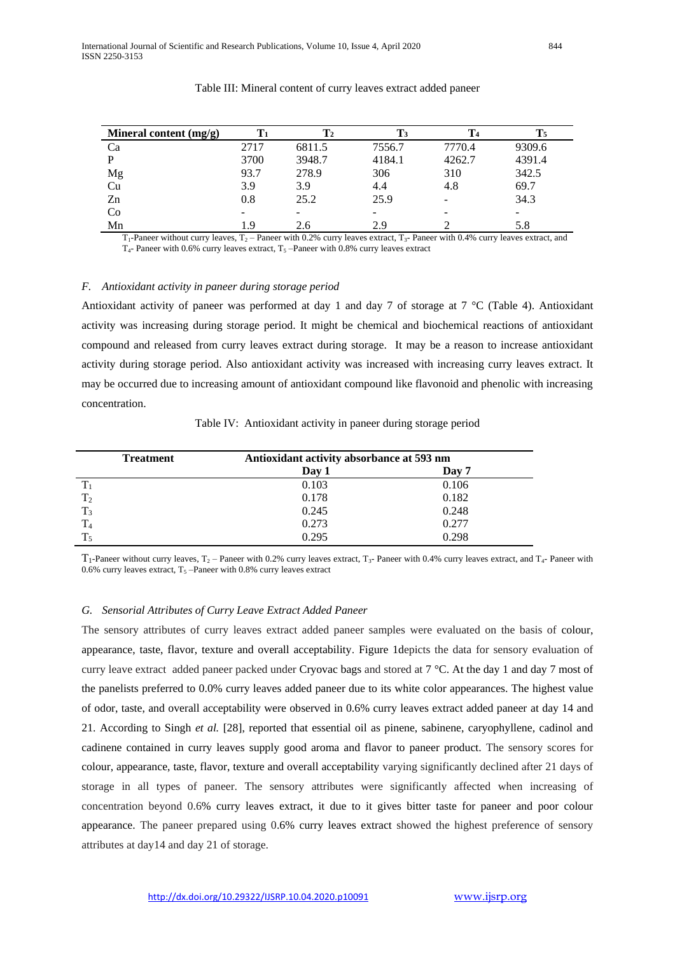| Mineral content $(mg/g)$ | $\mathbf{T}_1$ | $\mathbf{T}_2$ | T3     | T <sub>4</sub> | $\mathrm{T}_5$ |
|--------------------------|----------------|----------------|--------|----------------|----------------|
| Ca                       | 2717           | 6811.5         | 7556.7 | 7770.4         | 9309.6         |
| P                        | 3700           | 3948.7         | 4184.1 | 4262.7         | 4391.4         |
| Mg                       | 93.7           | 278.9          | 306    | 310            | 342.5          |
| Cu                       | 3.9            | 3.9            | 4.4    | 4.8            | 69.7           |
| Zn                       | 0.8            | 25.2           | 25.9   | -              | 34.3           |
| Co                       |                |                |        | -              | -              |
| Mn                       | 1.9            | 2.6            | 2.9    |                | 5.8            |

#### Table III: Mineral content of curry leaves extract added paneer

 $T_1$ -Paneer without curry leaves,  $T_2$  – Paneer with 0.2% curry leaves extract,  $T_3$ -Paneer with 0.4% curry leaves extract, and  $T_4$ - Paneer with 0.6% curry leaves extract,  $T_5$  –Paneer with 0.8% curry leaves extract

# *F. Antioxidant activity in paneer during storage period*

Antioxidant activity of paneer was performed at day 1 and day 7 of storage at 7  $^{\circ}$ C (Table 4). Antioxidant activity was increasing during storage period. It might be chemical and biochemical reactions of antioxidant compound and released from curry leaves extract during storage. It may be a reason to increase antioxidant activity during storage period. Also antioxidant activity was increased with increasing curry leaves extract. It may be occurred due to increasing amount of antioxidant compound like flavonoid and phenolic with increasing concentration.

| <b>Treatment</b> | Antioxidant activity absorbance at 593 nm |       |  |
|------------------|-------------------------------------------|-------|--|
|                  | Day 1                                     | Day 7 |  |
|                  | 0.103                                     | 0.106 |  |
| T <sub>2</sub>   | 0.178                                     | 0.182 |  |
| $T_3$            | 0.245                                     | 0.248 |  |
|                  | 0.273                                     | 0.277 |  |
| $T_{5}$          | 0.295                                     | 0.298 |  |

Table IV: Antioxidant activity in paneer during storage period

 $T_1$ -Paneer without curry leaves,  $T_2$  – Paneer with 0.2% curry leaves extract,  $T_3$ - Paneer with 0.4% curry leaves extract, and  $T_4$ - Paneer with 0.6% curry leaves extract,  $T_5$  –Paneer with 0.8% curry leaves extract

#### *G. Sensorial Attributes of Curry Leave Extract Added Paneer*

The sensory attributes of curry leaves extract added paneer samples were evaluated on the basis of colour, appearance, taste, flavor, texture and overall acceptability. Figure 1depicts the data for sensory evaluation of curry leave extract added paneer packed under Cryovac bags and stored at 7 °C. At the day 1 and day 7 most of the panelists preferred to 0.0% curry leaves added paneer due to its white color appearances. The highest value of odor, taste, and overall acceptability were observed in 0.6% curry leaves extract added paneer at day 14 and 21. According to Singh *et al.* [28], reported that essential oil as pinene, sabinene, caryophyllene, cadinol and cadinene contained in curry leaves supply good aroma and flavor to paneer product. The sensory scores for colour, appearance, taste, flavor, texture and overall acceptability varying significantly declined after 21 days of storage in all types of paneer. The sensory attributes were significantly affected when increasing of concentration beyond 0.6% curry leaves extract, it due to it gives bitter taste for paneer and poor colour appearance. The paneer prepared using 0.6% curry leaves extract showed the highest preference of sensory attributes at day14 and day 21 of storage.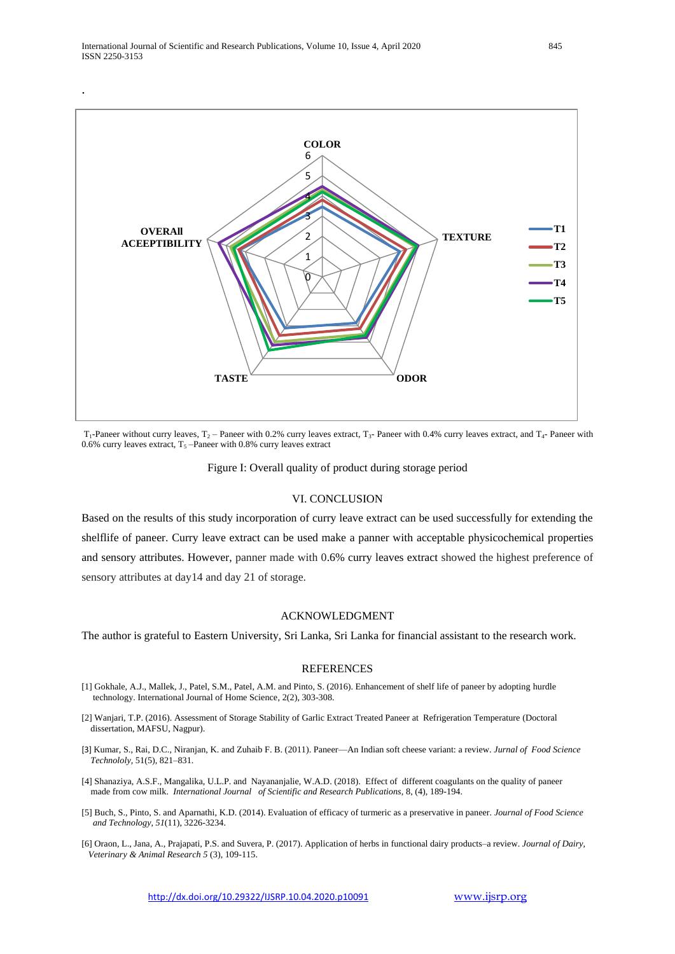

 $T_1$ -Paneer without curry leaves,  $T_2$  – Paneer with 0.2% curry leaves extract, T<sub>3</sub>- Paneer with 0.4% curry leaves extract, and  $T_4$ - Paneer with 0.6% curry leaves extract,  $T_5$  –Paneer with 0.8% curry leaves extract

Figure I: Overall quality of product during storage period

## VI. CONCLUSION

Based on the results of this study incorporation of curry leave extract can be used successfully for extending the shelflife of paneer. Curry leave extract can be used make a panner with acceptable physicochemical properties and sensory attributes. However, panner made with 0.6% curry leaves extract showed the highest preference of sensory attributes at day14 and day 21 of storage.

# ACKNOWLEDGMENT

The author is grateful to Eastern University, Sri Lanka, Sri Lanka for financial assistant to the research work.

#### REFERENCES

- [1] Gokhale, A.J., Mallek, J., Patel, S.M., Patel, A.M. and Pinto, S. (2016). Enhancement of shelf life of paneer by adopting hurdle technology. International Journal of Home Science, 2(2), 303-308.
- [2] Wanjari, T.P. (2016). Assessment of Storage Stability of Garlic Extract Treated Paneer at Refrigeration Temperature (Doctoral dissertation, MAFSU, Nagpur).
- [3] Kumar, S., Rai, D.C., Niranjan, K. and Zuhaib F. B. (2011). Paneer—An Indian soft cheese variant: a review. *Jurnal of Food Science Technololy,* 51(5), 821–831.
- [4] Shanaziya, A.S.F., Mangalika, U.L.P. and Nayananjalie, W.A.D. (2018). Effect of different coagulants on the quality of paneer made from cow milk. *International Journal of Scientific and Research Publications,* 8, (4), 189-194.
- [5] Buch, S., Pinto, S. and Aparnathi, K.D. (2014). Evaluation of efficacy of turmeric as a preservative in paneer. *Journal of Food Science and Technology*, *51*(11), 3226-3234.
- [6] Oraon, L., Jana, A., Prajapati, P.S. and Suvera, P. (2017). Application of herbs in functional dairy products–a review. *Journal of Dairy, Veterinary & Animal Research 5* (3), 109-115.